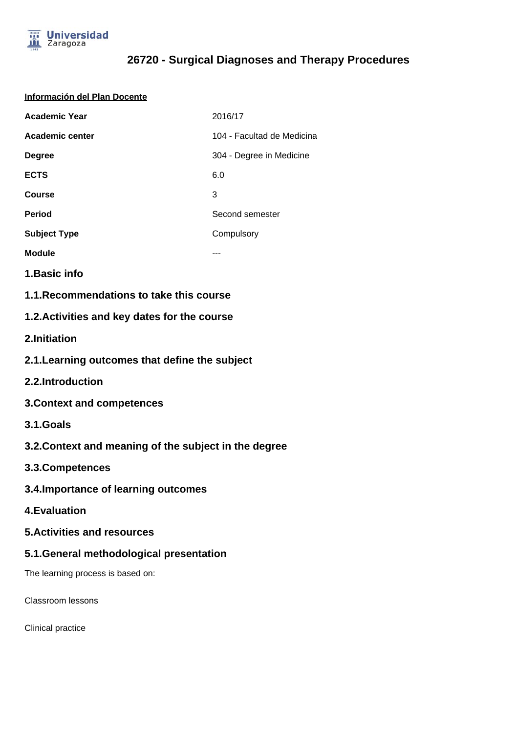

#### **Información del Plan Docente**

| <b>Academic Year</b> | 2016/17                    |
|----------------------|----------------------------|
| Academic center      | 104 - Facultad de Medicina |
| <b>Degree</b>        | 304 - Degree in Medicine   |
| <b>ECTS</b>          | 6.0                        |
| <b>Course</b>        | 3                          |
| <b>Period</b>        | Second semester            |
| <b>Subject Type</b>  | Compulsory                 |
| <b>Module</b>        |                            |

**1.Basic info**

**1.1.Recommendations to take this course**

### **1.2.Activities and key dates for the course**

**2.Initiation**

- **2.1.Learning outcomes that define the subject**
- **2.2.Introduction**
- **3.Context and competences**
- **3.1.Goals**
- **3.2.Context and meaning of the subject in the degree**
- **3.3.Competences**
- **3.4.Importance of learning outcomes**
- **4.Evaluation**
- **5.Activities and resources**

#### **5.1.General methodological presentation**

The learning process is based on:

Classroom lessons

Clinical practice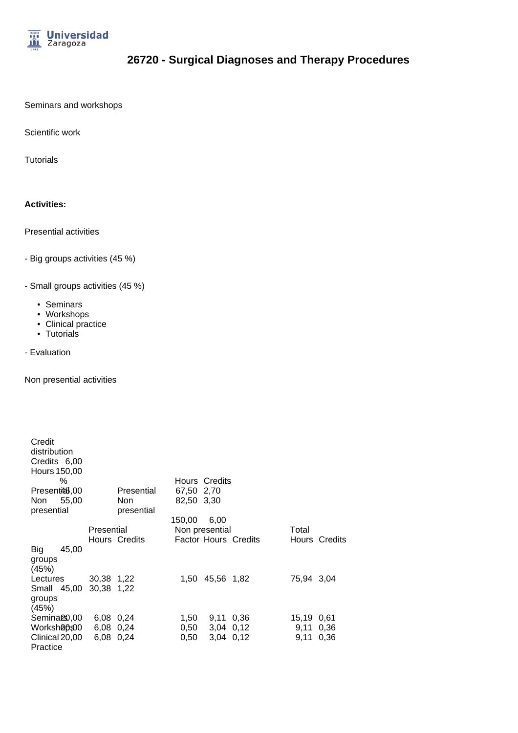

Seminars and workshops

Scientific work

**Tutorials** 

#### **Activities:**

Presential activities

- Big groups activities (45 %)
- Small groups activities (45 %)
	- Seminars
	- Workshops
	- Clinical practice
	- Tutorials
- Evaluation

Non presential activities

| Credit<br>distribution<br>Credits 6,00<br>Hours 150,00 |            |               |            |                 |                             |            |               |
|--------------------------------------------------------|------------|---------------|------------|-----------------|-----------------------------|------------|---------------|
| ℅                                                      |            |               |            | Hours Credits   |                             |            |               |
| Present <sup>26</sup> 8,00                             |            | Presential    | 67,50 2,70 |                 |                             |            |               |
| 55,00<br>Non                                           |            | Non.          | 82,50 3,30 |                 |                             |            |               |
| presential                                             |            | presential    |            |                 |                             |            |               |
|                                                        |            |               | 150.00     | 6,00            |                             |            |               |
|                                                        | Presential |               |            | Non presential  |                             | Total      |               |
|                                                        |            | Hours Credits |            |                 | <b>Factor Hours Credits</b> |            | Hours Credits |
| 45,00<br>Big<br>groups<br>(45%)                        |            |               |            |                 |                             |            |               |
| Lectures                                               | 30,38 1,22 |               |            | 1.50 45.56 1.82 |                             | 75,94 3,04 |               |
| Small 45,00<br>groups<br>(45%)                         | 30,38 1,22 |               |            |                 |                             |            |               |
| Semina <sup>23</sup> 0,00                              | 6.08 0.24  |               | 1,50       | 9.11 0.36       |                             | 15,19 0,61 |               |
| Worksh@p\$00                                           | 6,08 0,24  |               | 0,50       | 3,04 0,12       |                             | 9,11       | 0,36          |
| Clinical 20,00<br>Practice                             | 6,08 0,24  |               | 0.50       | $3,04$ $0,12$   |                             | 9,11       | 0.36          |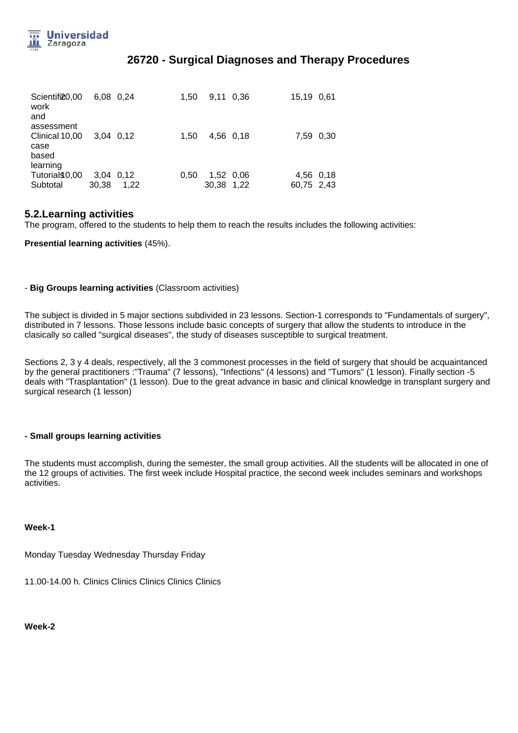

| Scientifi20,00<br>work<br>and                 | 6.08 0.24          |      | 1.50 | 9.11       | 0.36      | 15.19 0.61              |      |
|-----------------------------------------------|--------------------|------|------|------------|-----------|-------------------------|------|
| assessment<br>Clinical 10,00<br>case<br>based | 3.04 0.12          |      | 1.50 | 4,56 0,18  |           | 7,59                    | 0,30 |
| learning<br>Tutorials 0,00<br>Subtotal        | 3.04 0.12<br>30,38 | 1,22 | 0.50 | 30,38 1,22 | 1,52 0,06 | 4,56 0,18<br>60,75 2,43 |      |

#### **5.2.Learning activities**

The program, offered to the students to help them to reach the results includes the following activities:

**Presential learning activities** (45%).

#### - **Big Groups learning activities** (Classroom activities)

The subject is divided in 5 major sections subdivided in 23 lessons. Section-1 corresponds to "Fundamentals of surgery", distributed in 7 lessons. Those lessons include basic concepts of surgery that allow the students to introduce in the clasically so called "surgical diseases", the study of diseases susceptible to surgical treatment.

Sections 2, 3 y 4 deals, respectively, all the 3 commonest processes in the field of surgery that should be acquaintanced by the general practitioners :"Trauma" (7 lessons), "Infections" (4 lessons) and "Tumors" (1 lesson). Finally section -5 deals with "Trasplantation" (1 lesson). Due to the great advance in basic and clinical knowledge in transplant surgery and surgical research (1 lesson)

#### **- Small groups learning activities**

The students must accomplish, during the semester, the small group activities. All the students will be allocated in one of the 12 groups of activities. The first week include Hospital practice, the second week includes seminars and workshops activities.

#### **Week-1**

Monday Tuesday Wednesday Thursday Friday

11.00-14.00 h. Clinics Clinics Clinics Clinics Clinics

**Week-2**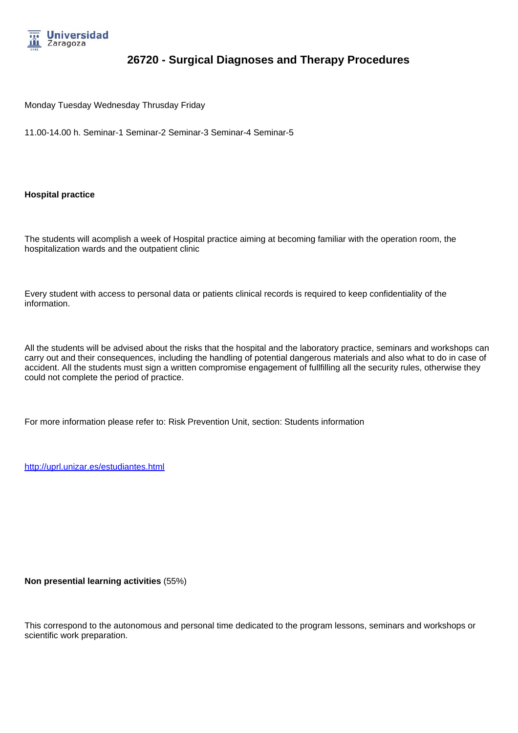

Monday Tuesday Wednesday Thrusday Friday

11.00-14.00 h. Seminar-1 Seminar-2 Seminar-3 Seminar-4 Seminar-5

**Hospital practice**

The students will acomplish a week of Hospital practice aiming at becoming familiar with the operation room, the hospitalization wards and the outpatient clinic

Every student with access to personal data or patients clinical records is required to keep confidentiality of the information.

All the students will be advised about the risks that the hospital and the laboratory practice, seminars and workshops can carry out and their consequences, including the handling of potential dangerous materials and also what to do in case of accident. All the students must sign a written compromise engagement of fullfilling all the security rules, otherwise they could not complete the period of practice.

For more information please refer to: Risk Prevention Unit, section: Students information

http://uprl.unizar.es/estudiantes.html

**Non presential learning activities** (55%)

This correspond to the autonomous and personal time dedicated to the program lessons, seminars and workshops or scientific work preparation.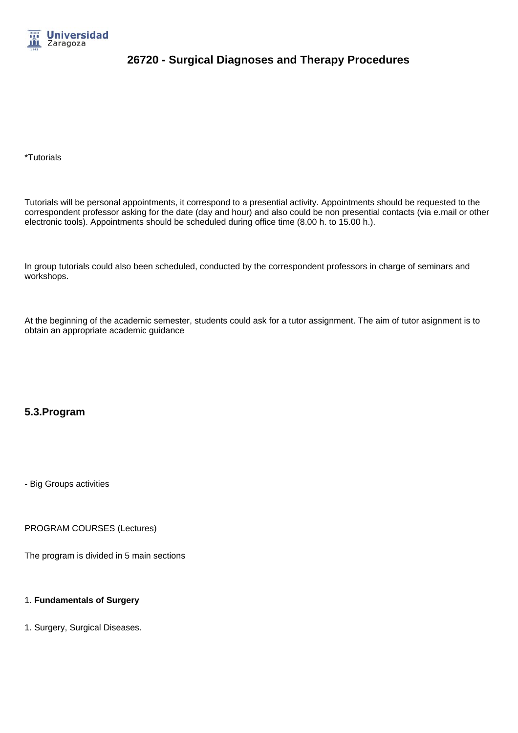

\*Tutorials

Tutorials will be personal appointments, it correspond to a presential activity. Appointments should be requested to the correspondent professor asking for the date (day and hour) and also could be non presential contacts (via e.mail or other electronic tools). Appointments should be scheduled during office time (8.00 h. to 15.00 h.).

In group tutorials could also been scheduled, conducted by the correspondent professors in charge of seminars and workshops.

At the beginning of the academic semester, students could ask for a tutor assignment. The aim of tutor asignment is to obtain an appropriate academic guidance

### **5.3.Program**

- Big Groups activities

PROGRAM COURSES (Lectures)

The program is divided in 5 main sections

#### 1. **Fundamentals of Surgery**

1. Surgery, Surgical Diseases.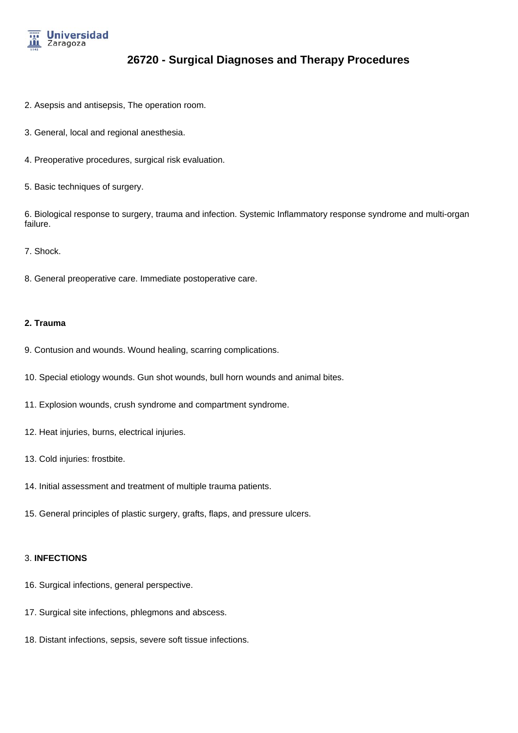

- 2. Asepsis and antisepsis, The operation room.
- 3. General, local and regional anesthesia.
- 4. Preoperative procedures, surgical risk evaluation.
- 5. Basic techniques of surgery.

6. Biological response to surgery, trauma and infection. Systemic Inflammatory response syndrome and multi-organ failure.

#### 7. Shock.

8. General preoperative care. Immediate postoperative care.

#### **2. Trauma**

- 9. Contusion and wounds. Wound healing, scarring complications.
- 10. Special etiology wounds. Gun shot wounds, bull horn wounds and animal bites.
- 11. Explosion wounds, crush syndrome and compartment syndrome.
- 12. Heat injuries, burns, electrical injuries.
- 13. Cold injuries: frostbite.
- 14. Initial assessment and treatment of multiple trauma patients.
- 15. General principles of plastic surgery, grafts, flaps, and pressure ulcers.

#### 3. **INFECTIONS**

- 16. Surgical infections, general perspective.
- 17. Surgical site infections, phlegmons and abscess.
- 18. Distant infections, sepsis, severe soft tissue infections.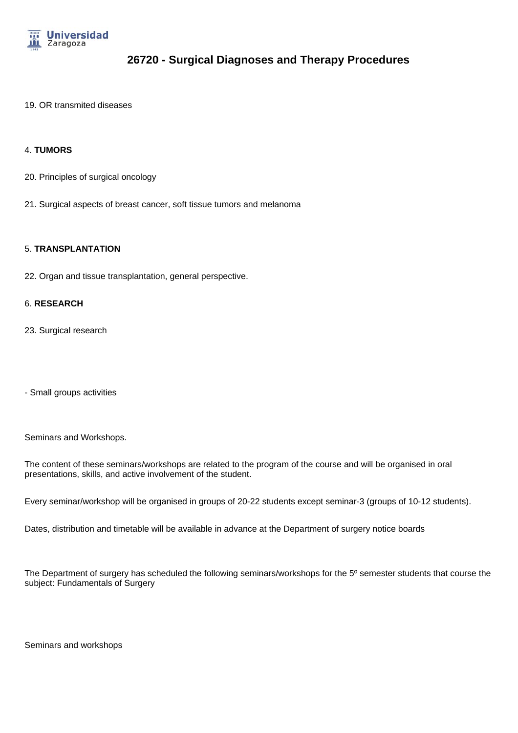

19. OR transmited diseases

#### 4. **TUMORS**

- 20. Principles of surgical oncology
- 21. Surgical aspects of breast cancer, soft tissue tumors and melanoma

#### 5. **TRANSPLANTATION**

22. Organ and tissue transplantation, general perspective.

#### 6. **RESEARCH**

23. Surgical research

- Small groups activities

Seminars and Workshops.

The content of these seminars/workshops are related to the program of the course and will be organised in oral presentations, skills, and active involvement of the student.

Every seminar/workshop will be organised in groups of 20-22 students except seminar-3 (groups of 10-12 students).

Dates, distribution and timetable will be available in advance at the Department of surgery notice boards

The Department of surgery has scheduled the following seminars/workshops for the 5º semester students that course the subject: Fundamentals of Surgery

Seminars and workshops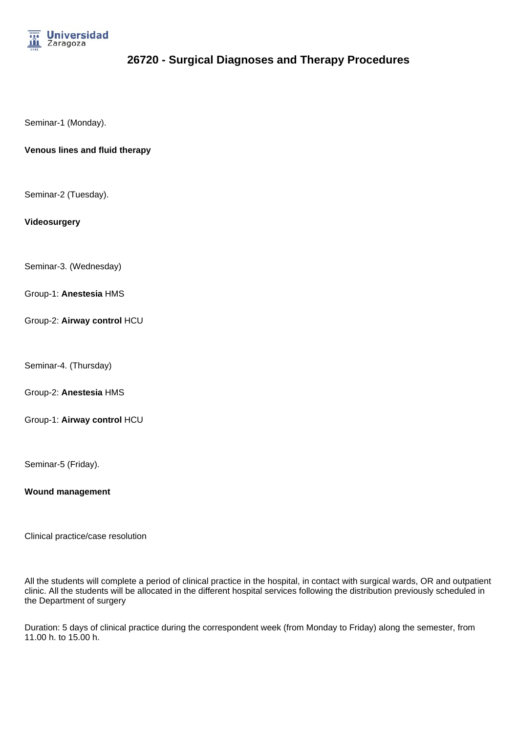

Seminar-1 (Monday).

#### **Venous lines and fluid therapy**

Seminar-2 (Tuesday).

#### **Videosurgery**

Seminar-3. (Wednesday)

Group-1: **Anestesia** HMS

Group-2: **Airway control** HCU

Seminar-4. (Thursday)

Group-2: **Anestesia** HMS

Group-1: **Airway control** HCU

Seminar-5 (Friday).

**Wound management**

Clinical practice/case resolution

All the students will complete a period of clinical practice in the hospital, in contact with surgical wards, OR and outpatient clinic. All the students will be allocated in the different hospital services following the distribution previously scheduled in the Department of surgery

Duration: 5 days of clinical practice during the correspondent week (from Monday to Friday) along the semester, from 11.00 h. to 15.00 h.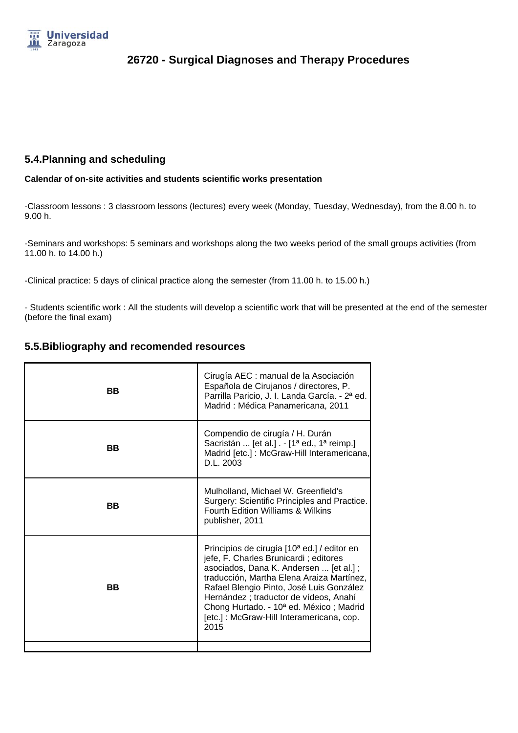

### **5.4.Planning and scheduling**

#### **Calendar of on-site activities and students scientific works presentation**

-Classroom lessons : 3 classroom lessons (lectures) every week (Monday, Tuesday, Wednesday), from the 8.00 h. to 9.00 h.

-Seminars and workshops: 5 seminars and workshops along the two weeks period of the small groups activities (from 11.00 h. to 14.00 h.)

-Clinical practice: 5 days of clinical practice along the semester (from 11.00 h. to 15.00 h.)

- Students scientific work : All the students will develop a scientific work that will be presented at the end of the semester (before the final exam)

### **5.5.Bibliography and recomended resources**

| <b>BB</b> | Cirugía AEC : manual de la Asociación<br>Española de Cirujanos / directores, P.<br>Parrilla Paricio, J. I. Landa García. - 2ª ed.<br>Madrid: Médica Panamericana, 2011                                                                                                                                                                                                                    |
|-----------|-------------------------------------------------------------------------------------------------------------------------------------------------------------------------------------------------------------------------------------------------------------------------------------------------------------------------------------------------------------------------------------------|
| BB        | Compendio de cirugía / H. Durán<br>Sacristán  [et al.] . - [1 <sup>a</sup> ed., 1 <sup>a</sup> reimp.]<br>Madrid [etc.] : McGraw-Hill Interamericana,<br>D.L. 2003                                                                                                                                                                                                                        |
| <b>BB</b> | Mulholland, Michael W. Greenfield's<br>Surgery: Scientific Principles and Practice.<br><b>Fourth Edition Williams &amp; Wilkins</b><br>publisher, 2011                                                                                                                                                                                                                                    |
| BB        | Principios de cirugía [10 <sup>a</sup> ed.] / editor en<br>jefe, F. Charles Brunicardi; editores<br>asociados, Dana K. Andersen  [et al.];<br>traducción, Martha Elena Araiza Martínez,<br>Rafael Blengio Pinto, José Luis González<br>Hernández ; traductor de vídeos, Anahí<br>Chong Hurtado. - 10 <sup>a</sup> ed. México; Madrid<br>[etc.] : McGraw-Hill Interamericana, cop.<br>2015 |